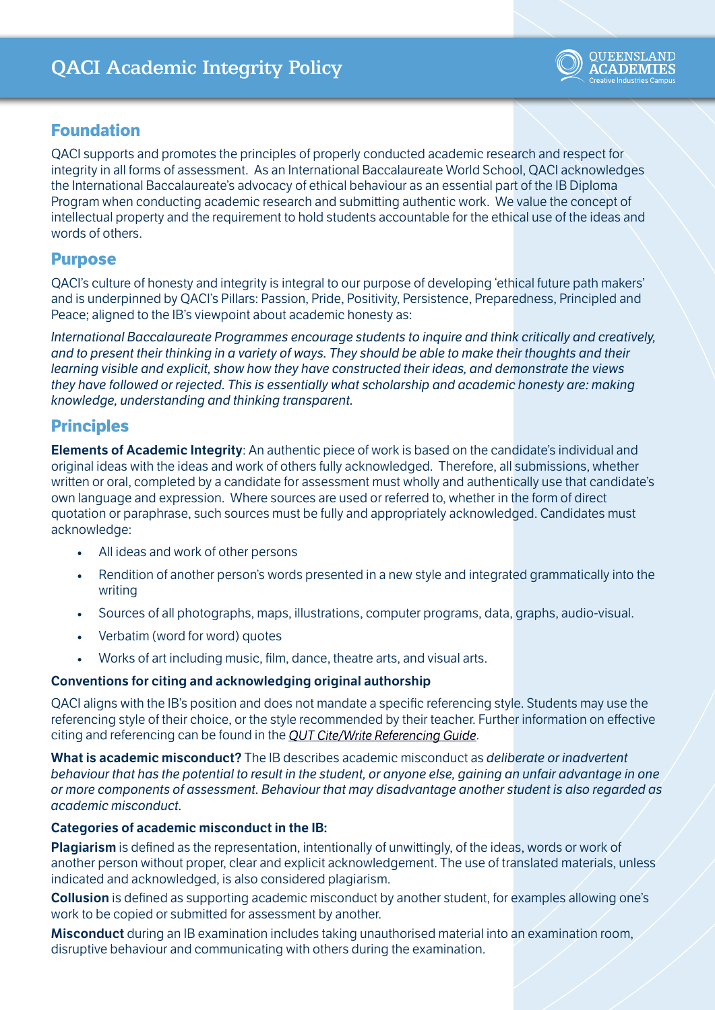

### **Foundation**

QACI supports and promotes the principles of properly conducted academic research and respect for integrity in all forms of assessment. As an International Baccalaureate World School, QACI acknowledges the International Baccalaureate's advocacy of ethical behaviour as an essential part of the IB Diploma Program when conducting academic research and submitting authentic work. We value the concept of intellectual property and the requirement to hold students accountable for the ethical use of the ideas and words of others.

### **Purpose**

QACI's culture of honesty and integrity is integral to our purpose of developing 'ethical future path makers' and is underpinned by QACI's Pillars: Passion, Pride, Positivity, Persistence, Preparedness, Principled and Peace; aligned to the IB's viewpoint about academic honesty as:

*International Baccalaureate Programmes encourage students to inquire and think critically and creatively, and to present their thinking in a variety of ways. They should be able to make their thoughts and their learning visible and explicit, show how they have constructed their ideas, and demonstrate the views they have followed or rejected. This is essentially what scholarship and academic honesty are: making knowledge, understanding and thinking transparent.* 

### **Principles**

**Elements of Academic Integrity**: An authentic piece of work is based on the candidate's individual and original ideas with the ideas and work of others fully acknowledged. Therefore, all submissions, whether written or oral, completed by a candidate for assessment must wholly and authentically use that candidate's own language and expression. Where sources are used or referred to, whether in the form of direct quotation or paraphrase, such sources must be fully and appropriately acknowledged. Candidates must acknowledge:

- All ideas and work of other persons
- Rendition of another person's words presented in a new style and integrated grammatically into the writing
- Sources of all photographs, maps, illustrations, computer programs, data, graphs, audio-visual.
- Verbatim (word for word) quotes
- Works of art including music, film, dance, theatre arts, and visual arts.

#### **Conventions for citing and acknowledging original authorship**

QACI aligns with the IB's position and does not mandate a specific referencing style. Students may use the referencing style of their choice, or the style recommended by their teacher. Further information on effective citing and referencing can be found in the *[QUT Cite/Write Referencing Guide](https://www.citewrite.qut.edu.au/cite/)*.

**What is academic misconduct?** The IB describes academic misconduct as *deliberate or inadvertent behaviour that has the potential to result in the student, or anyone else, gaining an unfair advantage in one or more components of assessment. Behaviour that may disadvantage another student is also regarded as academic misconduct.* 

#### **Categories of academic misconduct in the IB:**

**Plagiarism** is defined as the representation, intentionally of unwittingly, of the ideas, words or work of another person without proper, clear and explicit acknowledgement. The use of translated materials, unless indicated and acknowledged, is also considered plagiarism.

**Collusion** is defined as supporting academic misconduct by another student, for examples allowing one's work to be copied or submitted for assessment by another.

**Misconduct** during an IB examination includes taking unauthorised material into an examination room, disruptive behaviour and communicating with others during the examination.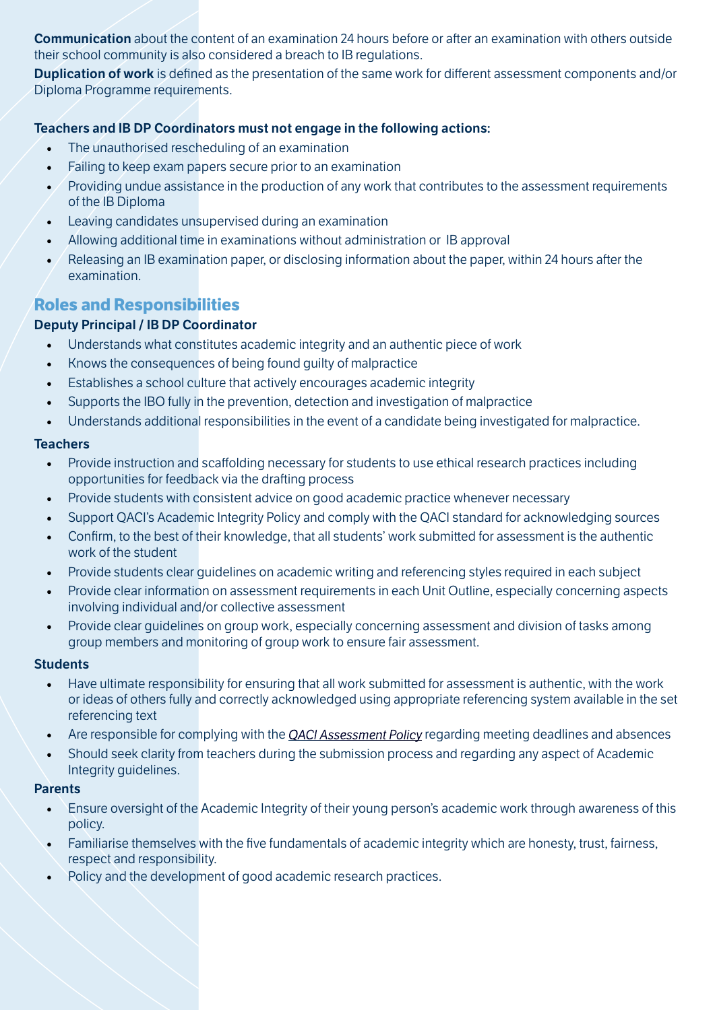**Communication** about the content of an examination 24 hours before or after an examination with others outside their school community is also considered a breach to IB regulations.

**Duplication of work** is defined as the presentation of the same work for different assessment components and/or Diploma Programme requirements.

#### **Teachers and IB DP Coordinators must not engage in the following actions:**

- The unauthorised rescheduling of an examination
- Failing to keep exam papers secure prior to an examination
- Providing undue assistance in the production of any work that contributes to the assessment requirements of the IB Diploma
- Leaving candidates unsupervised during an examination
- Allowing additional time in examinations without administration or IB approval
- Releasing an IB examination paper, or disclosing information about the paper, within 24 hours after the examination.

# **Roles and Responsibilities**

### **Deputy Principal / IB DP Coordinator**

- Understands what constitutes academic integrity and an authentic piece of work
- Knows the consequences of being found guilty of malpractice
- Establishes a school culture that actively encourages academic integrity
- Supports the IBO fully in the prevention, detection and investigation of malpractice
- Understands additional responsibilities in the event of a candidate being investigated for malpractice.

#### **Teachers**

- Provide instruction and scaffolding necessary for students to use ethical research practices including opportunities for feedback via the drafting process
- Provide students with consistent advice on good academic practice whenever necessary
- Support QACI's Academic Integrity Policy and comply with the QACI standard for acknowledging sources
- Confirm, to the best of their knowledge, that all students' work submitted for assessment is the authentic work of the student
- Provide students clear guidelines on academic writing and referencing styles required in each subject
- Provide clear information on assessment requirements in each Unit Outline, especially concerning aspects involving individual and/or collective assessment
- Provide clear guidelines on group work, especially concerning assessment and division of tasks among group members and monitoring of group work to ensure fair assessment.

#### **Students**

- Have ultimate responsibility for ensuring that all work submitted for assessment is authentic, with the work or ideas of others fully and correctly acknowledged using appropriate referencing system available in the set referencing text
- Are responsible for complying with the *[QACI Assessment Policy](https://qaci.eq.edu.au/supportandresources/formsanddocuments/documents/assessment-policy-procedure.pdf)* regarding meeting deadlines and absences
- Should seek clarity from teachers during the submission process and regarding any aspect of Academic Integrity guidelines.

#### **Parents**

- Ensure oversight of the Academic Integrity of their young person's academic work through awareness of this policy.
- Familiarise themselves with the five fundamentals of academic integrity which are honesty, trust, fairness, respect and responsibility.
- Policy and the development of good academic research practices.